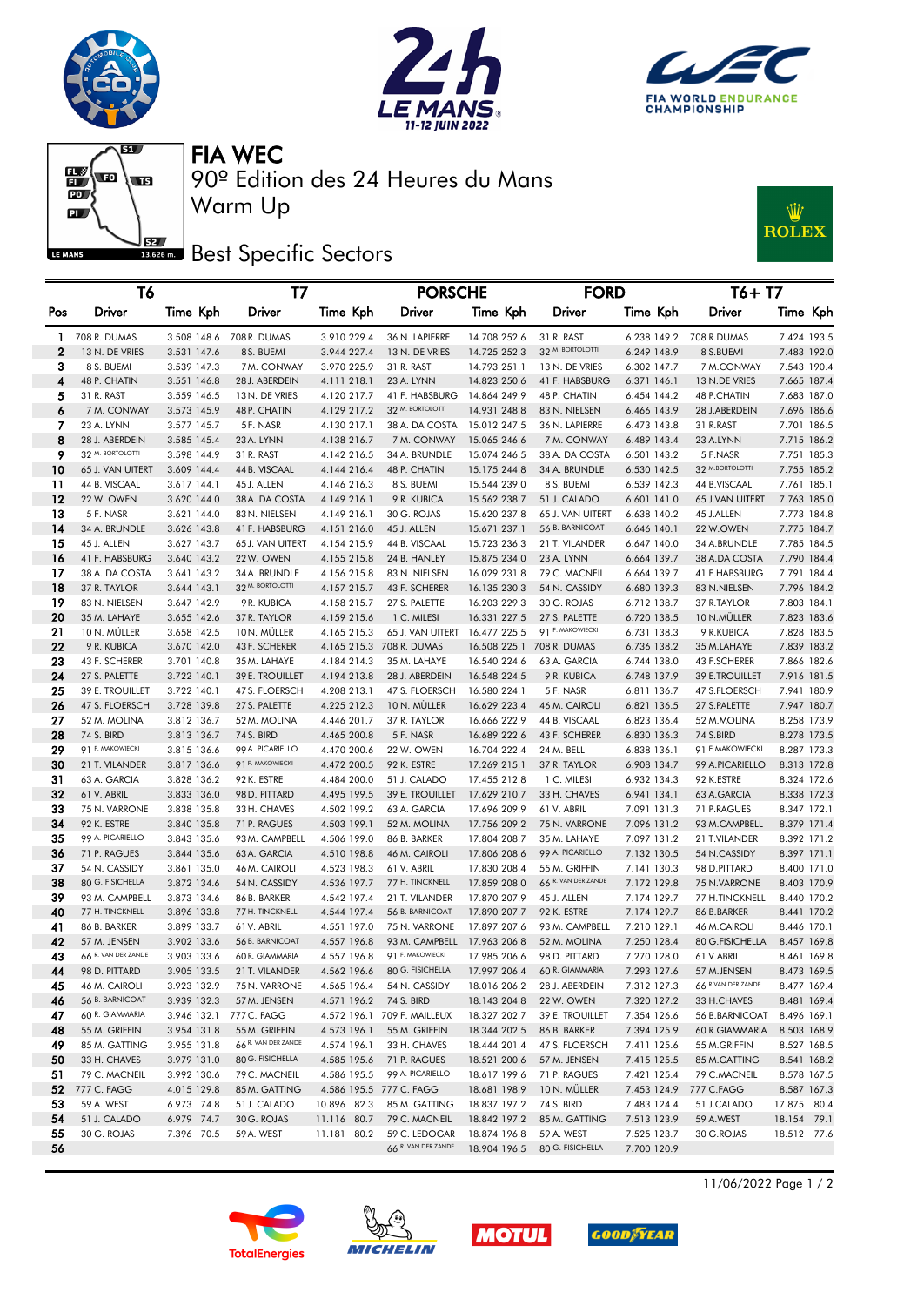







90º Edition des 24 Heures du Mans FIA WEC

**Best Specific Sectors** 

Warm Up



|     | T6                  |             | T7                  |             | <b>PORSCHE</b>               |              | <b>FORD</b>         |             | $T6+T7$             |             |  |
|-----|---------------------|-------------|---------------------|-------------|------------------------------|--------------|---------------------|-------------|---------------------|-------------|--|
| Pos | Driver              | Time Kph    | Driver              | Time Kph    | Driver                       | Time Kph     | Driver              | Time Kph    | <b>Driver</b>       | Time Kph    |  |
| 1   | 708 R. DUMAS        | 3.508 148.6 | 708 R. DUMAS        | 3.910 229.4 | 36 N. LAPIERRE               | 14.708 252.6 | 31 R. RAST          | 6.238 149.2 | 708 R.DUMAS         | 7.424 193.5 |  |
| 2   | 13 N. DE VRIES      | 3.531 147.6 | 8 S. BUEMI          | 3.944 227.4 | 13 N. DE VRIES               | 14.725 252.3 | 32 M. BORTOLOTTI    | 6.249 148.9 | 8 S.BUEMI           | 7.483 192.0 |  |
| з   | 8 S. BUEMI          | 3.539 147.3 | 7M. CONWAY          | 3.970 225.9 | 31 R. RAST                   | 14.793 251.1 | 13 N. DE VRIES      | 6.302 147.7 | 7 M.CONWAY          | 7.543 190.4 |  |
| 4   | 48 P. CHATIN        | 3.551 146.8 | 28 J. ABERDEIN      | 4.111 218.1 | 23 A. LYNN                   | 14.823 250.6 | 41 F. HABSBURG      | 6.371 146.1 | 13 N.DE VRIES       | 7.665 187.4 |  |
| 5   | 31 R. RAST          | 3.559 146.5 | 13 N. DE VRIES      | 4.120 217.7 | 41 F. HABSBURG               | 14.864 249.9 | 48 P. CHATIN        | 6.454 144.2 | 48 P.CHATIN         | 7.683 187.0 |  |
| 6   | 7 M. CONWAY         | 3.573 145.9 | 48 P. CHATIN        | 4.129 217.2 | 32 M. BORTOLOTTI             | 14.931 248.8 | 83 N. NIELSEN       | 6.466 143.9 | 28 J.ABERDEIN       | 7.696 186.6 |  |
| 7   | 23 A. LYNN          | 3.577 145.7 | 5F. NASR            | 4.130 217.1 | 38 A. DA COSTA               | 15.012 247.5 | 36 N. LAPIERRE      | 6.473 143.8 | 31 R.RAST           | 7.701 186.5 |  |
| 8   | 28 J. ABERDEIN      | 3.585 145.4 | 23 A. LYNN          | 4.138 216.7 | 7 M. CONWAY                  | 15.065 246.6 | 7 M. CONWAY         | 6.489 143.4 | 23 A.LYNN           | 7.715 186.2 |  |
| 9   | 32 M. BORTOLOTTI    | 3.598 144.9 | 31 R. RAST          | 4.142 216.5 | 34 A. BRUNDLE                | 15.074 246.5 | 38 A. DA COSTA      | 6.501 143.2 | 5 F.NASR            | 7.751 185.3 |  |
| 10  | 65 J. VAN UITERT    | 3.609 144.4 | 44 B. VISCAAL       | 4.144 216.4 | 48 P. CHATIN                 | 15.175 244.8 | 34 A. BRUNDLE       | 6.530 142.5 | 32 M.BORTOLOTTI     | 7.755 185.2 |  |
| 11  | 44 B. VISCAAL       | 3.617 144.1 | 45 J. ALLEN         | 4.146 216.3 | 8 S. BUEMI                   | 15.544 239.0 | 8 S. BUEMI          | 6.539 142.3 | 44 B.VISCAAL        | 7.761 185.1 |  |
| 12  | 22 W. OWEN          | 3.620 144.0 | 38A. DA COSTA       | 4.149 216.1 | 9 R. KUBICA                  | 15.562 238.7 | 51 J. CALADO        | 6.601 141.0 | 65 J.VAN UITERT     | 7.763 185.0 |  |
| 13  | 5 F. NASR           | 3.621 144.0 | 83 N. NIELSEN       | 4.149 216.1 | 30 G. ROJAS                  | 15.620 237.8 | 65 J. VAN UITERT    | 6.638 140.2 | 45 J.ALLEN          | 7.773 184.8 |  |
| 14  | 34 A. BRUNDLE       | 3.626 143.8 | 41 F. HABSBURG      | 4.151 216.0 | 45 J. ALLEN                  | 15.671 237.1 | 56 B. BARNICOAT     | 6.646 140.1 | 22 W.OWEN           | 7.775 184.7 |  |
| 15  | 45 J. ALLEN         | 3.627 143.7 | 65 J. VAN UITERT    | 4.154 215.9 | 44 B. VISCAAL                | 15.723 236.3 | 21 T. VILANDER      | 6.647 140.0 | 34 A.BRUNDLE        | 7.785 184.5 |  |
| 16  | 41 F. HABSBURG      | 3.640 143.2 | 22W. OWEN           | 4.155 215.8 | 24 B. HANLEY                 | 15.875 234.0 | 23 A. LYNN          | 6.664 139.7 | 38 A.DA COSTA       | 7.790 184.4 |  |
| 17  | 38 A. DA COSTA      | 3.641 143.2 | 34 A. BRUNDLE       | 4.156 215.8 | 83 N. NIELSEN                | 16.029 231.8 | 79 C. MACNEIL       | 6.664 139.7 | 41 F.HABSBURG       | 7.791 184.4 |  |
| 18  | 37 R. TAYLOR        | 3.644 143.1 | 32 M. BORTOLOTTI    | 4.157 215.7 | 43 F. SCHERER                | 16.135 230.3 | 54 N. CASSIDY       | 6.680 139.3 | 83 N.NIELSEN        | 7.796 184.2 |  |
| 19  | 83 N. NIELSEN       | 3.647 142.9 | 9 R. KUBICA         | 4.158 215.7 | 27 S. PALETTE                | 16.203 229.3 | 30 G. ROJAS         | 6.712 138.7 | 37 R.TAYLOR         | 7.803 184.1 |  |
| 20  | 35 M. LAHAYE        | 3.655 142.6 | 37 R. TAYLOR        | 4.159 215.6 | 1 C. MILESI                  | 16.331 227.5 | 27 S. PALETTE       | 6.720 138.5 | 10 N.MÜLLER         | 7.823 183.6 |  |
| 21  | 10 N. MÜLLER        | 3.658 142.5 | 10N. MÜLLER         | 4.165 215.3 | 65 J. VAN UITERT             | 16.477 225.5 | 91 F. MAKOWIECKI    | 6.731 138.3 | 9 R.KUBICA          | 7.828 183.5 |  |
| 22  | 9 R. KUBICA         | 3.670 142.0 | 43 F. SCHERER       |             | 4.165 215.3 708 R. DUMAS     | 16.508 225.1 | 708 R. DUMAS        | 6.736 138.2 | 35 M.LAHAYE         | 7.839 183.2 |  |
| 23  | 43 F. SCHERER       | 3.701 140.8 | 35 M. LAHAYE        | 4.184 214.3 | 35 M. LAHAYE                 | 16.540 224.6 | 63 A. GARCIA        | 6.744 138.0 | 43 F.SCHERER        | 7.866 182.6 |  |
| 24  | 27 S. PALETTE       | 3.722 140.1 | 39 E. TROUILLET     | 4.194 213.8 | 28 J. ABERDEIN               | 16.548 224.5 | 9 R. KUBICA         | 6.748 137.9 | 39 E.TROUILLET      | 7.916 181.5 |  |
| 25  | 39 E. TROUILLET     | 3.722 140.1 | 47 S. FLOERSCH      | 4.208 213.1 | 47 S. FLOERSCH               | 16.580 224.1 | 5 F. NASR           | 6.811 136.7 | 47 S.FLOERSCH       | 7.941 180.9 |  |
| 26  | 47 S. FLOERSCH      | 3.728 139.8 | 27 S. PALETTE       | 4.225 212.3 | 10 N. MULLER                 | 16.629 223.4 | 46 M. CAIROLI       | 6.821 136.5 | 27 S.PALETTE        | 7.947 180.7 |  |
| 27  | 52 M. MOLINA        | 3.812 136.7 | 52 M. MOLINA        | 4.446 201.7 | 37 R. TAYLOR                 | 16.666 222.9 | 44 B. VISCAAL       | 6.823 136.4 | 52 M.MOLINA         | 8.258 173.9 |  |
| 28  | 74 S. BIRD          | 3.813 136.7 | 74 S. BIRD          | 4.465 200.8 | 5 F. NASR                    | 16.689 222.6 | 43 F. SCHERER       | 6.830 136.3 | 74 S.BIRD           | 8.278 173.5 |  |
| 29  | 91 F. MAKOWIECKI    | 3.815 136.6 | 99 A. PICARIELLO    | 4.470 200.6 | 22 W. OWEN                   | 16.704 222.4 | 24 M. BELL          | 6.838 136.1 | 91 F.MAKOWIECKI     | 8.287 173.3 |  |
| 30  | 21 T. VILANDER      | 3.817 136.6 | 91 F. MAKOWIECKI    | 4.472 200.5 | 92 K. ESTRE                  | 17.269 215.1 | 37 R. TAYLOR        | 6.908 134.7 | 99 A.PICARIELLO     | 8.313 172.8 |  |
| 31  | 63 A. GARCIA        | 3.828 136.2 | 92 K. ESTRE         | 4.484 200.0 | 51 J. CALADO                 | 17.455 212.8 | 1 C. MILESI         | 6.932 134.3 | 92 K.ESTRE          | 8.324 172.6 |  |
| 32  | 61 V. ABRIL         | 3.833 136.0 | 98 D. PITTARD       | 4.495 199.5 | 39 E. TROUILLET              | 17.629 210.7 | 33 H. CHAVES        | 6.941 134.1 | 63 A.GARCIA         | 8.338 172.3 |  |
| 33  | 75 N. VARRONE       | 3.838 135.8 | 33 H. CHAVES        | 4.502 199.2 | 63 A. GARCIA                 | 17.696 209.9 | 61 V. ABRIL         | 7.091 131.3 | 71 P.RAGUES         | 8.347 172.1 |  |
| 34  | 92 K. ESTRE         | 3.840 135.8 | 71 P. RAGUES        | 4.503 199.1 | 52 M. MOLINA                 | 17.756 209.2 | 75 N. VARRONE       | 7.096 131.2 | 93 M.CAMPBELL       | 8.379 171.4 |  |
| 35  | 99 A. PICARIELLO    | 3.843 135.6 | 93 M. CAMPBELL      | 4.506 199.0 | 86 B. BARKER                 | 17.804 208.7 | 35 M. LAHAYE        | 7.097 131.2 | 21 T.VILANDER       | 8.392 171.2 |  |
| 36  | 71 P. RAGUES        | 3.844 135.6 | 63 A. GARCIA        | 4.510 198.8 | 46 M. CAIROLI                | 17.806 208.6 | 99 A. PICARIELLO    | 7.132 130.5 | 54 N.CASSIDY        | 8.397 171.1 |  |
| 37  | 54 N. CASSIDY       | 3.861 135.0 | 46 M. CAIROLI       | 4.523 198.3 | 61 V. ABRIL                  | 17.830 208.4 | 55 M. GRIFFIN       | 7.141 130.3 | 98 D.PITTARD        | 8.400 171.0 |  |
| 38  | 80 G. FISICHELLA    | 3.872 134.6 | 54 N. CASSIDY       | 4.536 197.7 | 77 H. TINCKNELL              | 17.859 208.0 | 66 R. VAN DER ZANDE | 7.172 129.8 | 75 N.VARRONE        | 8.403 170.9 |  |
| 39  | 93 M. CAMPBELL      | 3.873 134.6 | 86 B. BARKER        | 4.542 197.4 | 21 T. VILANDER               | 17.870 207.9 | 45 J. ALLEN         | 7.174 129.7 | 77 H.TINCKNELL      | 8.440 170.2 |  |
| 40  | 77 H. TINCKNELL     | 3.896 133.8 | 77 H. TINCKNELL     | 4.544 197.4 | 56 B. BARNICOAT              | 17.890 207.7 | 92 K. ESTRE         | 7.174 129.7 | 86 B.BARKER         | 8.441 170.2 |  |
| 41  | 86 B. BARKER        | 3.899 133.7 | 61 V. ABRIL         | 4.551 197.0 | 75 N. VARRONE                | 17.897 207.6 | 93 M. CAMPBELL      | 7.210 129.1 | <b>46 M.CAIROLI</b> | 8.446 170.1 |  |
| 42  | 57 M. JENSEN        | 3.902 133.6 | 56 B. BARNICOAT     | 4.557 196.8 | 93 M. CAMPBELL               | 17.963 206.8 | 52 M. MOLINA        | 7.250 128.4 | 80 G.FISICHELLA     | 8.457 169.8 |  |
| 43  | 66 R. VAN DER ZANDE | 3.903 133.6 | 60 R. GIAMMARIA     | 4.557 196.8 | 91 F. MAKOWIECKI             | 17.985 206.6 | 98 D. PITTARD       | 7.270 128.0 | 61 V.ABRIL          | 8.461 169.8 |  |
|     | 98 D. PITTARD       | 3.905 133.5 | 21 T. VILANDER      |             | 4.562 196.6 80 G. FISICHELLA | 17.997 206.4 | 60 R. GIAMMARIA     | 7.293 127.6 | 57 M.JENSEN         | 8.473 169.5 |  |
| 45  | 46 M. CAIROLI       | 3.923 132.9 | 75 N. VARRONE       |             | 4.565 196.4 54 N. CASSIDY    | 18.016 206.2 | 28 J. ABERDEIN      | 7.312 127.3 | 66 R.VAN DER ZANDE  | 8.477 169.4 |  |
| 46  | 56 B. BARNICOAT     | 3.939 132.3 | 57 M. JENSEN        | 4.571 196.2 | 74 S. BIRD                   | 18.143 204.8 | 22 W. OWEN          | 7.320 127.2 | 33 H.CHAVES         | 8.481 169.4 |  |
| 47  | 60 R. GIAMMARIA     | 3.946 132.1 | 777 C. FAGG         |             | 4.572 196.1 709 F. MAILLEUX  | 18.327 202.7 | 39 E. TROUILLET     | 7.354 126.6 | 56 B.BARNICOAT      | 8.496 169.1 |  |
| 48  | 55 M. GRIFFIN       | 3.954 131.8 | 55 M. GRIFFIN       | 4.573 196.1 | 55 M. GRIFFIN                | 18.344 202.5 | 86 B. BARKER        | 7.394 125.9 | 60 R.GIAMMARIA      | 8.503 168.9 |  |
| 49  | 85 M. GATTING       | 3.955 131.8 | 66 R. VAN DER ZANDE | 4.574 196.1 | 33 H. CHAVES                 | 18.444 201.4 | 47 S. FLOERSCH      | 7.411 125.6 | 55 M.GRIFFIN        | 8.527 168.5 |  |
| 50  | 33 H. CHAVES        | 3.979 131.0 | 80 G. FISICHELLA    | 4.585 195.6 | 71 P. RAGUES                 | 18.521 200.6 | 57 M. JENSEN        | 7.415 125.5 | 85 M.GATTING        | 8.541 168.2 |  |
| 51  | 79 C. MACNEIL       | 3.992 130.6 | 79 C. MACNEIL       | 4.586 195.5 | 99 A. PICARIELLO             | 18.617 199.6 | 71 P. RAGUES        | 7.421 125.4 | 79 C.MACNEIL        | 8.578 167.5 |  |
| 52  | 777 C. FAGG         | 4.015 129.8 | 85 M. GATTING       |             | 4.586 195.5 777 C. FAGG      | 18.681 198.9 | 10 N. MÜLLER        | 7.453 124.9 | 777 C.FAGG          | 8.587 167.3 |  |
| 53  | 59 A. WEST          | 6.973 74.8  | 51 J. CALADO        | 10.896 82.3 | 85 M. GATTING                | 18.837 197.2 | 74 S. BIRD          | 7.483 124.4 | 51 J.CALADO         | 17.875 80.4 |  |
| 54  | 51 J. CALADO        | 6.979 74.7  | 30 G. ROJAS         | 11.116 80.7 | 79 C. MACNEIL                | 18.842 197.2 | 85 M. GATTING       | 7.513 123.9 | 59 A.WEST           | 18.154 79.1 |  |
| 55  | 30 G. ROJAS         | 7.396 70.5  | 59 A. WEST          | 11.181 80.2 | 59 C. LEDOGAR                | 18.874 196.8 | 59 A. WEST          | 7.525 123.7 | 30 G.ROJAS          | 18.512 77.6 |  |
| 56  |                     |             |                     |             | 66 R. VAN DER ZANDE          | 18.904 196.5 | 80 G. FISICHELLA    | 7.700 120.9 |                     |             |  |







**GOOD**FYEAR